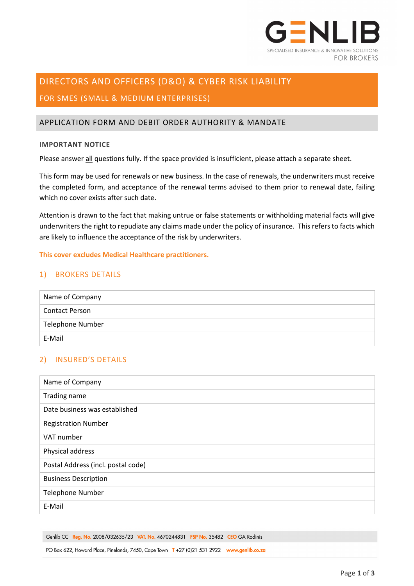

# DIRECTORS AND OFFICERS (D&O) & CYBER RISK LIABILITY

# FOR SMES (SMALL & MEDIUM ENTERPRISES)

## APPLICATION FORM AND DEBIT ORDER AUTHORITY & MANDATE

#### **IMPORTANT NOTICE**

Please answer all questions fully. If the space provided is insufficient, please attach a separate sheet.

This form may be used for renewals or new business. In the case of renewals, the underwriters must receive the completed form, and acceptance of the renewal terms advised to them prior to renewal date, failing which no cover exists after such date.

Attention is drawn to the fact that making untrue or false statements or withholding material facts will give underwriters the right to repudiate any claims made under the policy of insurance. This refers to facts which are likely to influence the acceptance of the risk by underwriters.

#### **This cover excludes Medical Healthcare practitioners.**

## 1) BROKERS DETAILS

| Name of Company         |  |
|-------------------------|--|
| <b>Contact Person</b>   |  |
| <b>Telephone Number</b> |  |
| E-Mail                  |  |

# 2) INSURED'S DETAILS

| Name of Company                    |  |
|------------------------------------|--|
| Trading name                       |  |
| Date business was established      |  |
| <b>Registration Number</b>         |  |
| VAT number                         |  |
| Physical address                   |  |
| Postal Address (incl. postal code) |  |
| <b>Business Description</b>        |  |
| <b>Telephone Number</b>            |  |
| E-Mail                             |  |

Genlib CC Reg. No. 2008/032635/23 VAT. No. 4670244831 FSP No. 35482 CEO GA Rodinis

PO Box 622, Howard Place, Pinelands, 7450, Cape Town T +27 (0)21 531 2922 www.genlib.co.za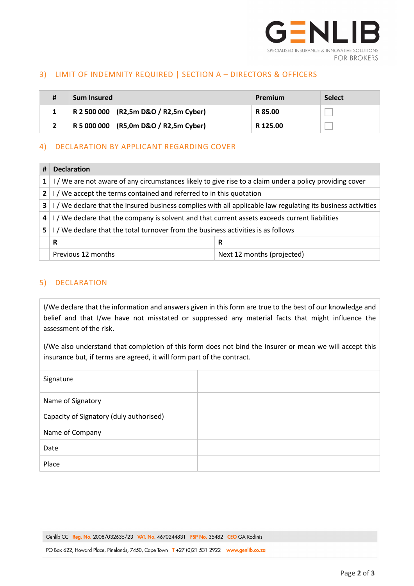

## 3) LIMIT OF INDEMNITY REQUIRED | SECTION A – DIRECTORS & OFFICERS

| # | <b>Sum Insured</b>                    | Premium  | <b>Select</b> |
|---|---------------------------------------|----------|---------------|
|   | R 2 500 000 (R2,5m D&O / R2,5m Cyber) | R 85.00  |               |
|   | R 5 000 000 (R5,0m D&O / R2,5m Cyber) | R 125.00 |               |

## 4) DECLARATION BY APPLICANT REGARDING COVER

| Ħ            | <b>Declaration</b>                                                                                         |                            |  |  |  |
|--------------|------------------------------------------------------------------------------------------------------------|----------------------------|--|--|--|
| $1\vert$     | I/We are not aware of any circumstances likely to give rise to a claim under a policy providing cover      |                            |  |  |  |
| $\mathbf{2}$ | I/We accept the terms contained and referred to in this quotation                                          |                            |  |  |  |
| 3            | I/We declare that the insured business complies with all applicable law regulating its business activities |                            |  |  |  |
| 4            | I/We declare that the company is solvent and that current assets exceeds current liabilities               |                            |  |  |  |
| 5.           | I/We declare that the total turnover from the business activities is as follows                            |                            |  |  |  |
|              | R<br>R                                                                                                     |                            |  |  |  |
|              | Previous 12 months                                                                                         | Next 12 months (projected) |  |  |  |

## 5) DECLARATION

I/We declare that the information and answers given in this form are true to the best of our knowledge and belief and that I/we have not misstated or suppressed any material facts that might influence the assessment of the risk.

I/We also understand that completion of this form does not bind the Insurer or mean we will accept this insurance but, if terms are agreed, it will form part of the contract.

| Signature                               |  |
|-----------------------------------------|--|
| Name of Signatory                       |  |
| Capacity of Signatory (duly authorised) |  |
| Name of Company                         |  |
| Date                                    |  |
| Place                                   |  |

PO Box 622, Howard Place, Pinelands, 7450, Cape Town T +27 (0)21 531 2922 www.genlib.co.za